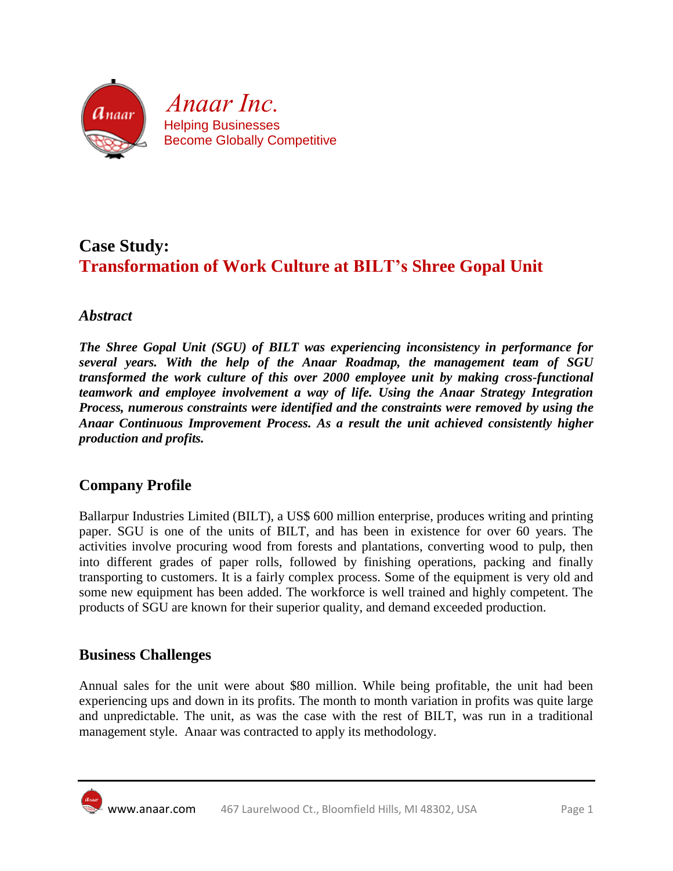

# **Case Study: Transformation of Work Culture at BILT's Shree Gopal Unit**

### *Abstract*

*The Shree Gopal Unit (SGU) of BILT was experiencing inconsistency in performance for several years. With the help of the Anaar Roadmap, the management team of SGU transformed the work culture of this over 2000 employee unit by making cross-functional teamwork and employee involvement a way of life. Using the Anaar Strategy Integration Process, numerous constraints were identified and the constraints were removed by using the Anaar Continuous Improvement Process. As a result the unit achieved consistently higher production and profits.*

## **Company Profile**

Ballarpur Industries Limited (BILT), a US\$ 600 million enterprise, produces writing and printing paper. SGU is one of the units of BILT, and has been in existence for over 60 years. The activities involve procuring wood from forests and plantations, converting wood to pulp, then into different grades of paper rolls, followed by finishing operations, packing and finally transporting to customers. It is a fairly complex process. Some of the equipment is very old and some new equipment has been added. The workforce is well trained and highly competent. The products of SGU are known for their superior quality, and demand exceeded production.

### **Business Challenges**

Annual sales for the unit were about \$80 million. While being profitable, the unit had been experiencing ups and down in its profits. The month to month variation in profits was quite large and unpredictable. The unit, as was the case with the rest of BILT, was run in a traditional management style. Anaar was contracted to apply its methodology.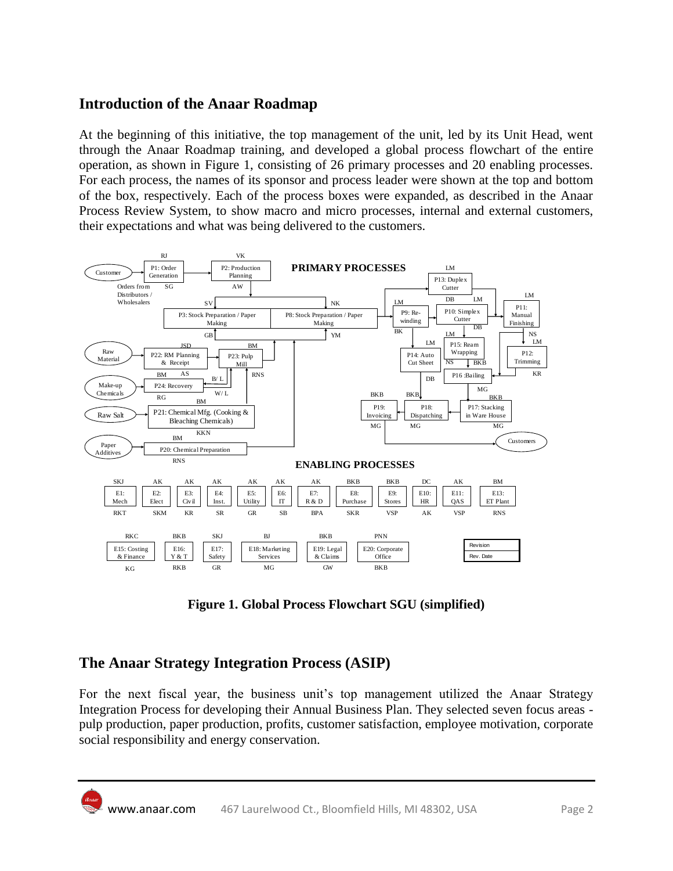### **Introduction of the Anaar Roadmap**

At the beginning of this initiative, the top management of the unit, led by its Unit Head, went through the Anaar Roadmap training, and developed a global process flowchart of the entire operation, as shown in Figure 1, consisting of 26 primary processes and 20 enabling processes. For each process, the names of its sponsor and process leader were shown at the top and bottom of the box, respectively. Each of the process boxes were expanded, as described in the Anaar Process Review System, to show macro and micro processes, internal and external customers, their expectations and what was being delivered to the customers.



**Figure 1. Global Process Flowchart SGU (simplified)**

## **The Anaar Strategy Integration Process (ASIP)**

For the next fiscal year, the business unit's top management utilized the Anaar Strategy Integration Process for developing their Annual Business Plan. They selected seven focus areas pulp production, paper production, profits, customer satisfaction, employee motivation, corporate social responsibility and energy conservation.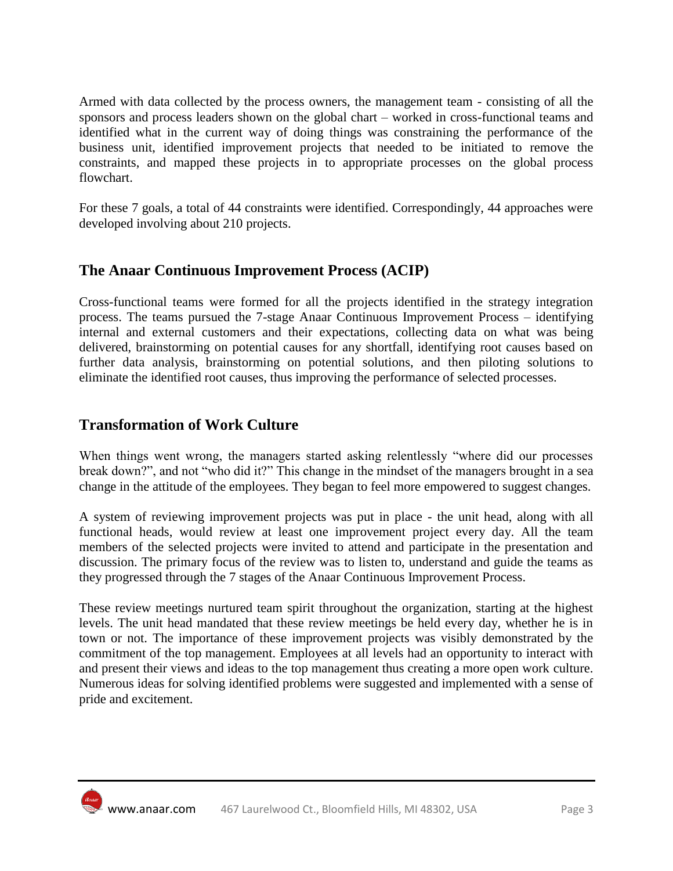Armed with data collected by the process owners, the management team - consisting of all the sponsors and process leaders shown on the global chart – worked in cross-functional teams and identified what in the current way of doing things was constraining the performance of the business unit, identified improvement projects that needed to be initiated to remove the constraints, and mapped these projects in to appropriate processes on the global process flowchart.

For these 7 goals, a total of 44 constraints were identified. Correspondingly, 44 approaches were developed involving about 210 projects.

### **The Anaar Continuous Improvement Process (ACIP)**

Cross-functional teams were formed for all the projects identified in the strategy integration process. The teams pursued the 7-stage Anaar Continuous Improvement Process – identifying internal and external customers and their expectations, collecting data on what was being delivered, brainstorming on potential causes for any shortfall, identifying root causes based on further data analysis, brainstorming on potential solutions, and then piloting solutions to eliminate the identified root causes, thus improving the performance of selected processes.

#### **Transformation of Work Culture**

When things went wrong, the managers started asking relentlessly "where did our processes break down?", and not "who did it?" This change in the mindset of the managers brought in a sea change in the attitude of the employees. They began to feel more empowered to suggest changes.

A system of reviewing improvement projects was put in place - the unit head, along with all functional heads, would review at least one improvement project every day. All the team members of the selected projects were invited to attend and participate in the presentation and discussion. The primary focus of the review was to listen to, understand and guide the teams as they progressed through the 7 stages of the Anaar Continuous Improvement Process.

These review meetings nurtured team spirit throughout the organization, starting at the highest levels. The unit head mandated that these review meetings be held every day, whether he is in town or not. The importance of these improvement projects was visibly demonstrated by the commitment of the top management. Employees at all levels had an opportunity to interact with and present their views and ideas to the top management thus creating a more open work culture. Numerous ideas for solving identified problems were suggested and implemented with a sense of pride and excitement.